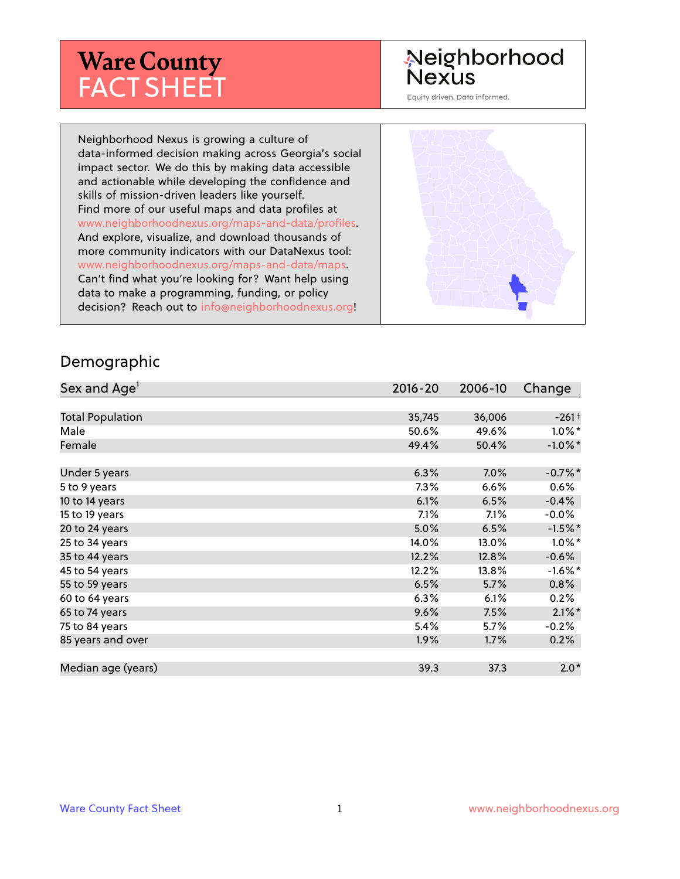# **Ware County** FACT SHEET

# Neighborhood **Nexus**

Equity driven. Data informed.

Neighborhood Nexus is growing a culture of data-informed decision making across Georgia's social impact sector. We do this by making data accessible and actionable while developing the confidence and skills of mission-driven leaders like yourself. Find more of our useful maps and data profiles at www.neighborhoodnexus.org/maps-and-data/profiles. And explore, visualize, and download thousands of more community indicators with our DataNexus tool: www.neighborhoodnexus.org/maps-and-data/maps. Can't find what you're looking for? Want help using data to make a programming, funding, or policy decision? Reach out to [info@neighborhoodnexus.org!](mailto:info@neighborhoodnexus.org)



#### Demographic

| Sex and Age <sup>1</sup> | $2016 - 20$ | 2006-10 | Change     |
|--------------------------|-------------|---------|------------|
|                          |             |         |            |
| <b>Total Population</b>  | 35,745      | 36,006  | $-261+$    |
| Male                     | 50.6%       | 49.6%   | $1.0\%$ *  |
| Female                   | 49.4%       | 50.4%   | $-1.0\%$ * |
|                          |             |         |            |
| Under 5 years            | 6.3%        | 7.0%    | $-0.7%$ *  |
| 5 to 9 years             | $7.3\%$     | 6.6%    | 0.6%       |
| 10 to 14 years           | 6.1%        | 6.5%    | $-0.4%$    |
| 15 to 19 years           | 7.1%        | 7.1%    | $-0.0\%$   |
| 20 to 24 years           | 5.0%        | 6.5%    | $-1.5%$ *  |
| 25 to 34 years           | 14.0%       | 13.0%   | $1.0\%$ *  |
| 35 to 44 years           | 12.2%       | 12.8%   | $-0.6%$    |
| 45 to 54 years           | 12.2%       | 13.8%   | $-1.6\%$ * |
| 55 to 59 years           | 6.5%        | 5.7%    | 0.8%       |
| 60 to 64 years           | 6.3%        | 6.1%    | 0.2%       |
| 65 to 74 years           | 9.6%        | 7.5%    | $2.1\%$ *  |
| 75 to 84 years           | 5.4%        | $5.7\%$ | $-0.2%$    |
| 85 years and over        | $1.9\%$     | 1.7%    | 0.2%       |
|                          |             |         |            |
| Median age (years)       | 39.3        | 37.3    | $2.0*$     |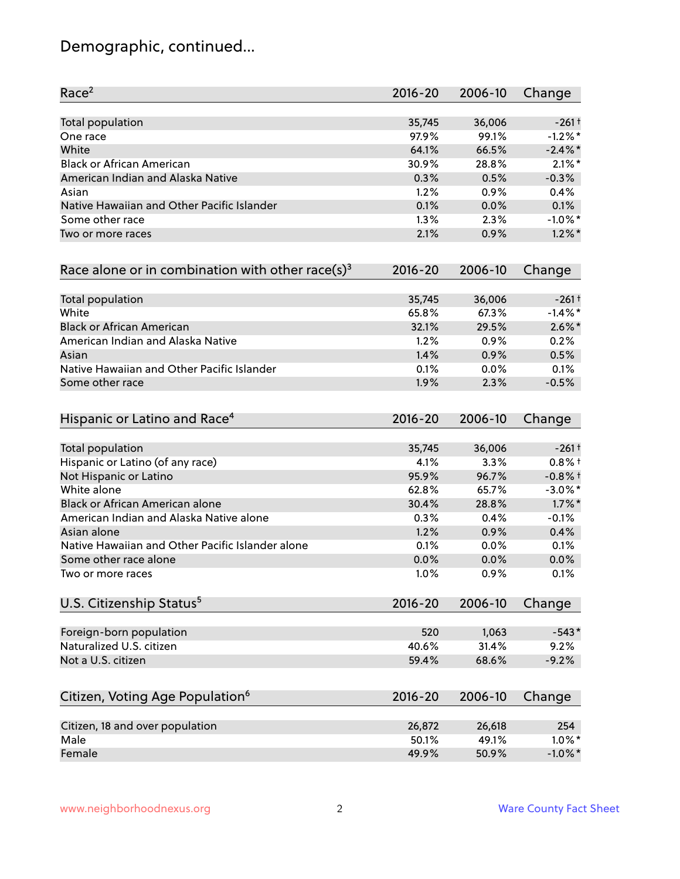# Demographic, continued...

| Race <sup>2</sup>                                   | $2016 - 20$ | 2006-10 | Change              |
|-----------------------------------------------------|-------------|---------|---------------------|
| <b>Total population</b>                             | 35,745      | 36,006  | $-261+$             |
| One race                                            | 97.9%       | 99.1%   | $-1.2%$ *           |
| White                                               | 64.1%       | 66.5%   | $-2.4\%$ *          |
| <b>Black or African American</b>                    | 30.9%       | 28.8%   | $2.1\%$ *           |
| American Indian and Alaska Native                   | 0.3%        | 0.5%    | $-0.3%$             |
| Asian                                               | 1.2%        | 0.9%    | 0.4%                |
| Native Hawaiian and Other Pacific Islander          | 0.1%        | 0.0%    | 0.1%                |
| Some other race                                     | 1.3%        | 2.3%    | $-1.0\%$ *          |
| Two or more races                                   | 2.1%        | 0.9%    | $1.2\%$ *           |
| Race alone or in combination with other race(s) $3$ | $2016 - 20$ | 2006-10 | Change              |
| Total population                                    | 35,745      | 36,006  | $-261$ <sup>+</sup> |
| White                                               | 65.8%       | 67.3%   | $-1.4%$ *           |
| <b>Black or African American</b>                    | 32.1%       | 29.5%   | $2.6\%$ *           |
| American Indian and Alaska Native                   | 1.2%        | 0.9%    | 0.2%                |
| Asian                                               | 1.4%        | 0.9%    | 0.5%                |
| Native Hawaiian and Other Pacific Islander          | 0.1%        | 0.0%    | 0.1%                |
| Some other race                                     | 1.9%        | 2.3%    | $-0.5%$             |
| Hispanic or Latino and Race <sup>4</sup>            | $2016 - 20$ | 2006-10 | Change              |
| <b>Total population</b>                             | 35,745      | 36,006  | $-261$ <sup>+</sup> |
| Hispanic or Latino (of any race)                    | 4.1%        | 3.3%    | $0.8%$ +            |
| Not Hispanic or Latino                              | 95.9%       | 96.7%   | $-0.8%$ †           |
| White alone                                         | 62.8%       | 65.7%   | $-3.0\%$ *          |
| Black or African American alone                     | 30.4%       | 28.8%   | $1.7\%$ *           |
| American Indian and Alaska Native alone             | 0.3%        | 0.4%    | $-0.1%$             |
| Asian alone                                         | 1.2%        | 0.9%    | 0.4%                |
| Native Hawaiian and Other Pacific Islander alone    | 0.1%        | 0.0%    | 0.1%                |
| Some other race alone                               | 0.0%        | 0.0%    | 0.0%                |
| Two or more races                                   | 1.0%        | 0.9%    | 0.1%                |
| U.S. Citizenship Status <sup>5</sup>                | $2016 - 20$ | 2006-10 | Change              |
| Foreign-born population                             | 520         | 1,063   | $-543*$             |
| Naturalized U.S. citizen                            | 40.6%       | 31.4%   | 9.2%                |
| Not a U.S. citizen                                  | 59.4%       | 68.6%   | $-9.2%$             |
|                                                     |             |         |                     |
| Citizen, Voting Age Population <sup>6</sup>         | $2016 - 20$ | 2006-10 | Change              |
| Citizen, 18 and over population                     | 26,872      | 26,618  | 254                 |
| Male                                                | 50.1%       | 49.1%   | $1.0\%$ *           |
| Female                                              | 49.9%       | 50.9%   | $-1.0\%$ *          |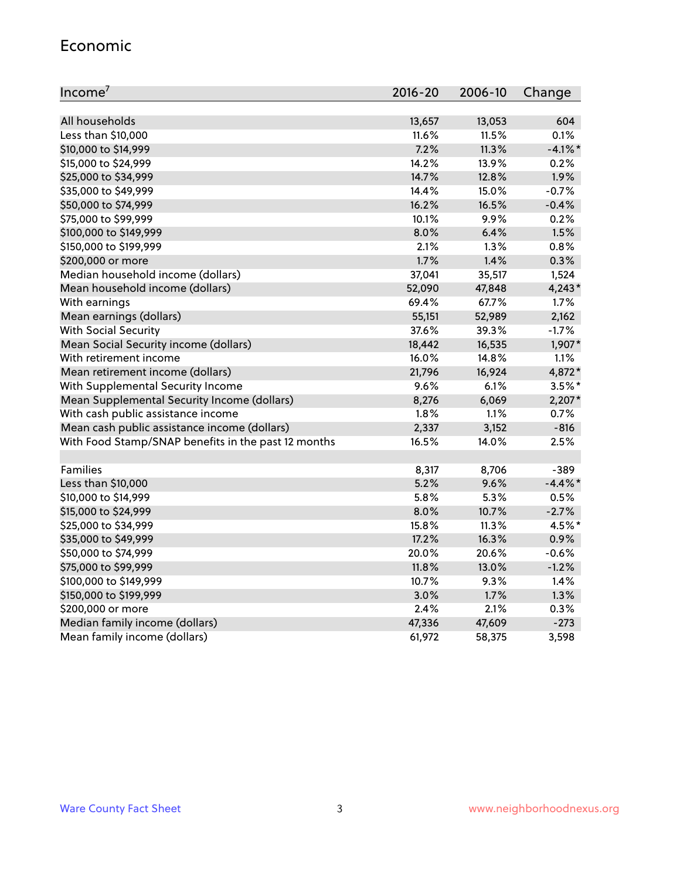#### Economic

| Income <sup>7</sup>                                 | $2016 - 20$ | 2006-10 | Change     |
|-----------------------------------------------------|-------------|---------|------------|
|                                                     |             |         |            |
| All households                                      | 13,657      | 13,053  | 604        |
| Less than \$10,000                                  | 11.6%       | 11.5%   | 0.1%       |
| \$10,000 to \$14,999                                | 7.2%        | 11.3%   | $-4.1\%$ * |
| \$15,000 to \$24,999                                | 14.2%       | 13.9%   | 0.2%       |
| \$25,000 to \$34,999                                | 14.7%       | 12.8%   | 1.9%       |
| \$35,000 to \$49,999                                | 14.4%       | 15.0%   | $-0.7%$    |
| \$50,000 to \$74,999                                | 16.2%       | 16.5%   | $-0.4%$    |
| \$75,000 to \$99,999                                | 10.1%       | 9.9%    | 0.2%       |
| \$100,000 to \$149,999                              | 8.0%        | 6.4%    | 1.5%       |
| \$150,000 to \$199,999                              | 2.1%        | 1.3%    | 0.8%       |
| \$200,000 or more                                   | 1.7%        | 1.4%    | 0.3%       |
| Median household income (dollars)                   | 37,041      | 35,517  | 1,524      |
| Mean household income (dollars)                     | 52,090      | 47,848  | $4,243*$   |
| With earnings                                       | 69.4%       | 67.7%   | 1.7%       |
| Mean earnings (dollars)                             | 55,151      | 52,989  | 2,162      |
| <b>With Social Security</b>                         | 37.6%       | 39.3%   | $-1.7%$    |
| Mean Social Security income (dollars)               | 18,442      | 16,535  | 1,907*     |
| With retirement income                              | 16.0%       | 14.8%   | 1.1%       |
| Mean retirement income (dollars)                    | 21,796      | 16,924  | 4,872*     |
| With Supplemental Security Income                   | 9.6%        | 6.1%    | $3.5%$ *   |
| Mean Supplemental Security Income (dollars)         | 8,276       | 6,069   | $2,207*$   |
| With cash public assistance income                  | 1.8%        | 1.1%    | 0.7%       |
| Mean cash public assistance income (dollars)        | 2,337       | 3,152   | $-816$     |
| With Food Stamp/SNAP benefits in the past 12 months | 16.5%       | 14.0%   | 2.5%       |
|                                                     |             |         |            |
| Families                                            | 8,317       | 8,706   | $-389$     |
| Less than \$10,000                                  | 5.2%        | 9.6%    | $-4.4\%$ * |
| \$10,000 to \$14,999                                | 5.8%        | 5.3%    | 0.5%       |
| \$15,000 to \$24,999                                | 8.0%        | 10.7%   | $-2.7%$    |
| \$25,000 to \$34,999                                | 15.8%       | 11.3%   | 4.5%*      |
| \$35,000 to \$49,999                                | 17.2%       | 16.3%   | 0.9%       |
| \$50,000 to \$74,999                                | 20.0%       | 20.6%   | $-0.6%$    |
| \$75,000 to \$99,999                                | 11.8%       | 13.0%   | $-1.2%$    |
| \$100,000 to \$149,999                              | 10.7%       | 9.3%    | 1.4%       |
| \$150,000 to \$199,999                              | 3.0%        | 1.7%    | 1.3%       |
| \$200,000 or more                                   | 2.4%        | 2.1%    | 0.3%       |
| Median family income (dollars)                      | 47,336      | 47,609  | $-273$     |
| Mean family income (dollars)                        | 61,972      | 58,375  | 3,598      |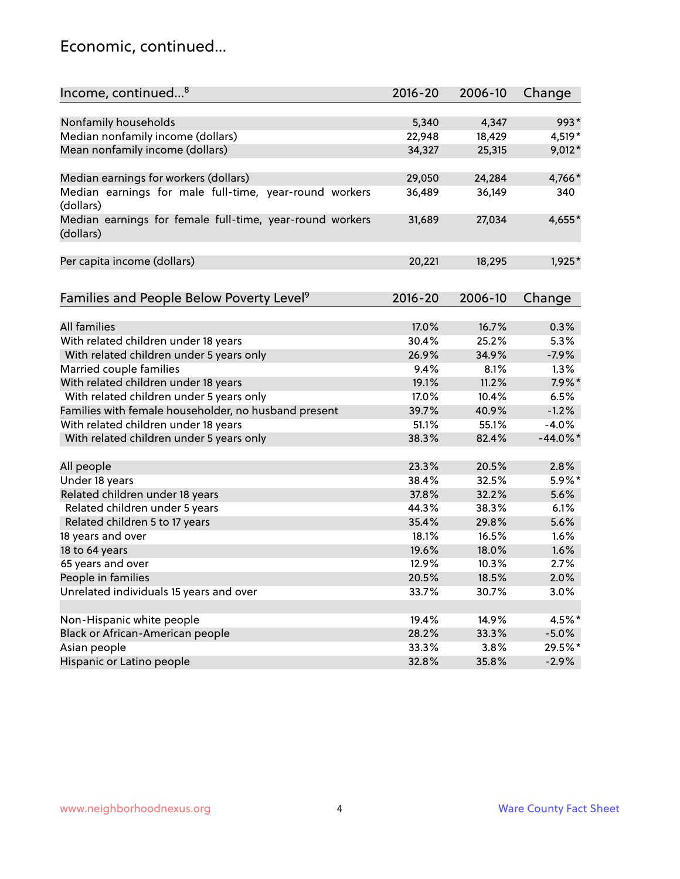### Economic, continued...

| Income, continued <sup>8</sup>                                        | $2016 - 20$ | 2006-10 | Change      |
|-----------------------------------------------------------------------|-------------|---------|-------------|
|                                                                       |             |         |             |
| Nonfamily households                                                  | 5,340       | 4,347   | 993*        |
| Median nonfamily income (dollars)                                     | 22,948      | 18,429  | 4,519*      |
| Mean nonfamily income (dollars)                                       | 34,327      | 25,315  | 9,012*      |
| Median earnings for workers (dollars)                                 | 29,050      | 24,284  | 4,766*      |
| Median earnings for male full-time, year-round workers<br>(dollars)   | 36,489      | 36,149  | 340         |
| Median earnings for female full-time, year-round workers<br>(dollars) | 31,689      | 27,034  | 4,655*      |
| Per capita income (dollars)                                           | 20,221      | 18,295  | 1,925*      |
| Families and People Below Poverty Level <sup>9</sup>                  | 2016-20     | 2006-10 | Change      |
|                                                                       |             |         |             |
| <b>All families</b>                                                   | 17.0%       | 16.7%   | 0.3%        |
| With related children under 18 years                                  | 30.4%       | 25.2%   | 5.3%        |
| With related children under 5 years only                              | 26.9%       | 34.9%   | $-7.9%$     |
| Married couple families                                               | 9.4%        | 8.1%    | 1.3%        |
| With related children under 18 years                                  | 19.1%       | 11.2%   | $7.9\%$ *   |
| With related children under 5 years only                              | 17.0%       | 10.4%   | 6.5%        |
| Families with female householder, no husband present                  | 39.7%       | 40.9%   | $-1.2%$     |
| With related children under 18 years                                  | 51.1%       | 55.1%   | $-4.0%$     |
| With related children under 5 years only                              | 38.3%       | 82.4%   | $-44.0\%$ * |
| All people                                                            | 23.3%       | 20.5%   | 2.8%        |
| Under 18 years                                                        | 38.4%       | 32.5%   | 5.9%*       |
| Related children under 18 years                                       | 37.8%       | 32.2%   | 5.6%        |
| Related children under 5 years                                        | 44.3%       | 38.3%   | 6.1%        |
| Related children 5 to 17 years                                        | 35.4%       | 29.8%   | 5.6%        |
| 18 years and over                                                     | 18.1%       | 16.5%   | 1.6%        |
| 18 to 64 years                                                        | 19.6%       | 18.0%   | 1.6%        |
| 65 years and over                                                     | 12.9%       | 10.3%   | 2.7%        |
| People in families                                                    | 20.5%       | 18.5%   | 2.0%        |
| Unrelated individuals 15 years and over                               | 33.7%       | 30.7%   | 3.0%        |
|                                                                       |             |         |             |
| Non-Hispanic white people                                             | 19.4%       | 14.9%   | 4.5%*       |
| Black or African-American people                                      | 28.2%       | 33.3%   | $-5.0%$     |
| Asian people                                                          | 33.3%       | 3.8%    | 29.5%*      |
| Hispanic or Latino people                                             | 32.8%       | 35.8%   | $-2.9%$     |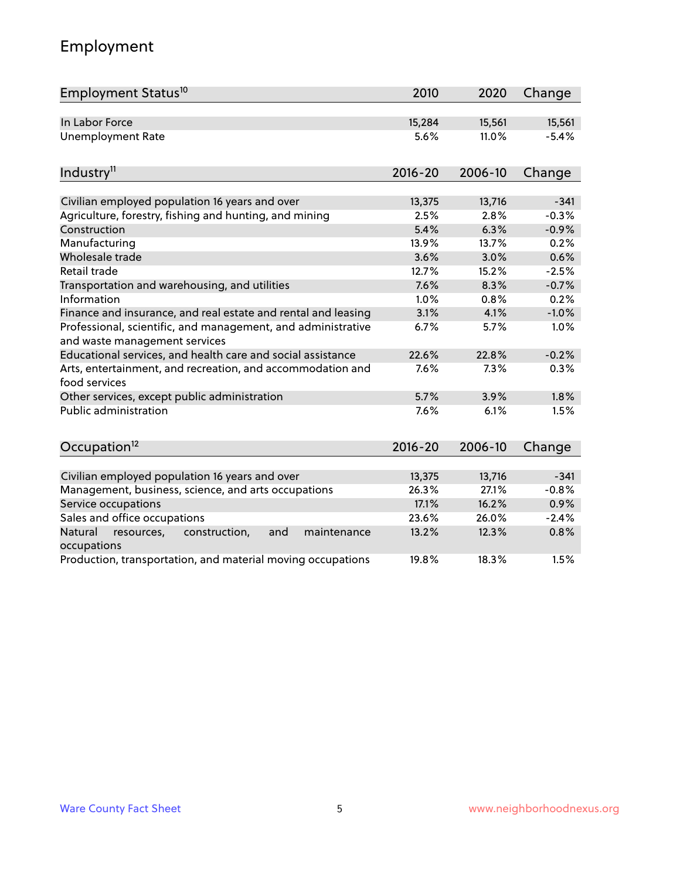# Employment

| Employment Status <sup>10</sup>                                                               | 2010        | 2020    | Change  |
|-----------------------------------------------------------------------------------------------|-------------|---------|---------|
| In Labor Force                                                                                | 15,284      | 15,561  | 15,561  |
| <b>Unemployment Rate</b>                                                                      | 5.6%        | 11.0%   | $-5.4%$ |
|                                                                                               |             |         |         |
| Industry <sup>11</sup>                                                                        | $2016 - 20$ | 2006-10 | Change  |
|                                                                                               |             |         |         |
| Civilian employed population 16 years and over                                                | 13,375      | 13,716  | $-341$  |
| Agriculture, forestry, fishing and hunting, and mining                                        | 2.5%        | 2.8%    | $-0.3%$ |
| Construction                                                                                  | 5.4%        | 6.3%    | $-0.9%$ |
| Manufacturing                                                                                 | 13.9%       | 13.7%   | 0.2%    |
| Wholesale trade                                                                               | 3.6%        | 3.0%    | 0.6%    |
| Retail trade                                                                                  | 12.7%       | 15.2%   | $-2.5%$ |
| Transportation and warehousing, and utilities                                                 | 7.6%        | 8.3%    | $-0.7%$ |
| Information                                                                                   | 1.0%        | 0.8%    | 0.2%    |
| Finance and insurance, and real estate and rental and leasing                                 | 3.1%        | 4.1%    | $-1.0%$ |
| Professional, scientific, and management, and administrative<br>and waste management services | 6.7%        | 5.7%    | 1.0%    |
| Educational services, and health care and social assistance                                   | 22.6%       | 22.8%   | $-0.2%$ |
| Arts, entertainment, and recreation, and accommodation and<br>food services                   | 7.6%        | 7.3%    | 0.3%    |
| Other services, except public administration                                                  | 5.7%        | 3.9%    | 1.8%    |
| Public administration                                                                         | 7.6%        | 6.1%    | 1.5%    |
| Occupation <sup>12</sup>                                                                      | $2016 - 20$ | 2006-10 | Change  |
|                                                                                               |             |         |         |
| Civilian employed population 16 years and over                                                | 13,375      | 13,716  | $-341$  |
| Management, business, science, and arts occupations                                           | 26.3%       | 27.1%   | $-0.8%$ |
| Service occupations                                                                           | 17.1%       | 16.2%   | 0.9%    |
| Sales and office occupations                                                                  | 23.6%       | 26.0%   | $-2.4%$ |
| Natural<br>and<br>maintenance<br>resources,<br>construction,<br>occupations                   | 13.2%       | 12.3%   | 0.8%    |
| Production, transportation, and material moving occupations                                   | 19.8%       | 18.3%   | 1.5%    |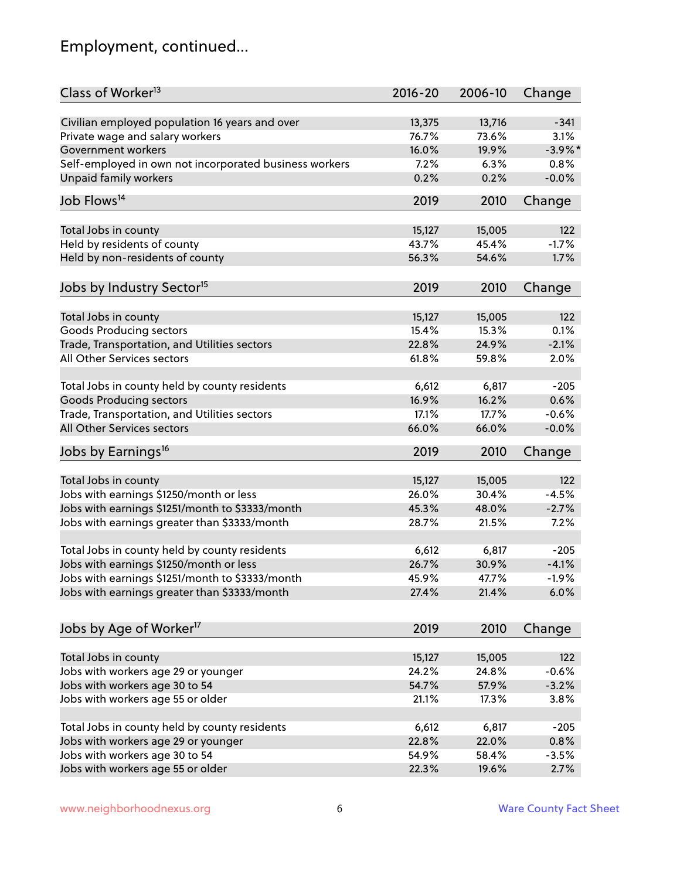# Employment, continued...

| Class of Worker <sup>13</sup>                          | $2016 - 20$ | 2006-10 | Change     |
|--------------------------------------------------------|-------------|---------|------------|
| Civilian employed population 16 years and over         | 13,375      | 13,716  | $-341$     |
| Private wage and salary workers                        | 76.7%       | 73.6%   | 3.1%       |
| Government workers                                     | 16.0%       | 19.9%   | $-3.9\%$ * |
| Self-employed in own not incorporated business workers | 7.2%        | 6.3%    | 0.8%       |
| <b>Unpaid family workers</b>                           | 0.2%        | 0.2%    | $-0.0%$    |
|                                                        |             |         |            |
| Job Flows <sup>14</sup>                                | 2019        | 2010    | Change     |
| Total Jobs in county                                   | 15,127      | 15,005  | 122        |
| Held by residents of county                            | 43.7%       | 45.4%   | $-1.7%$    |
| Held by non-residents of county                        | 56.3%       | 54.6%   | 1.7%       |
|                                                        |             |         |            |
| Jobs by Industry Sector <sup>15</sup>                  | 2019        | 2010    | Change     |
| Total Jobs in county                                   | 15,127      | 15,005  | 122        |
| Goods Producing sectors                                | 15.4%       | 15.3%   | 0.1%       |
| Trade, Transportation, and Utilities sectors           | 22.8%       | 24.9%   | $-2.1%$    |
| All Other Services sectors                             | 61.8%       | 59.8%   | 2.0%       |
|                                                        |             |         |            |
| Total Jobs in county held by county residents          | 6,612       | 6,817   | $-205$     |
| <b>Goods Producing sectors</b>                         | 16.9%       | 16.2%   | 0.6%       |
| Trade, Transportation, and Utilities sectors           | 17.1%       | 17.7%   | $-0.6%$    |
| All Other Services sectors                             | 66.0%       | 66.0%   | $-0.0%$    |
| Jobs by Earnings <sup>16</sup>                         | 2019        | 2010    | Change     |
|                                                        |             |         |            |
| Total Jobs in county                                   | 15,127      | 15,005  | 122        |
| Jobs with earnings \$1250/month or less                | 26.0%       | 30.4%   | $-4.5%$    |
| Jobs with earnings \$1251/month to \$3333/month        | 45.3%       | 48.0%   | $-2.7%$    |
| Jobs with earnings greater than \$3333/month           | 28.7%       | 21.5%   | 7.2%       |
| Total Jobs in county held by county residents          | 6,612       | 6,817   | $-205$     |
| Jobs with earnings \$1250/month or less                | 26.7%       | 30.9%   | $-4.1%$    |
| Jobs with earnings \$1251/month to \$3333/month        | 45.9%       | 47.7%   | $-1.9\%$   |
| Jobs with earnings greater than \$3333/month           | 27.4%       | 21.4%   | 6.0%       |
|                                                        |             |         |            |
| Jobs by Age of Worker <sup>17</sup>                    | 2019        | 2010    | Change     |
| Total Jobs in county                                   | 15,127      | 15,005  | 122        |
| Jobs with workers age 29 or younger                    | 24.2%       | 24.8%   | $-0.6%$    |
| Jobs with workers age 30 to 54                         | 54.7%       | 57.9%   | $-3.2%$    |
| Jobs with workers age 55 or older                      | 21.1%       | 17.3%   | 3.8%       |
|                                                        |             |         |            |
| Total Jobs in county held by county residents          | 6,612       | 6,817   | $-205$     |
| Jobs with workers age 29 or younger                    | 22.8%       | 22.0%   | 0.8%       |
| Jobs with workers age 30 to 54                         | 54.9%       | 58.4%   | $-3.5%$    |
| Jobs with workers age 55 or older                      | 22.3%       | 19.6%   | 2.7%       |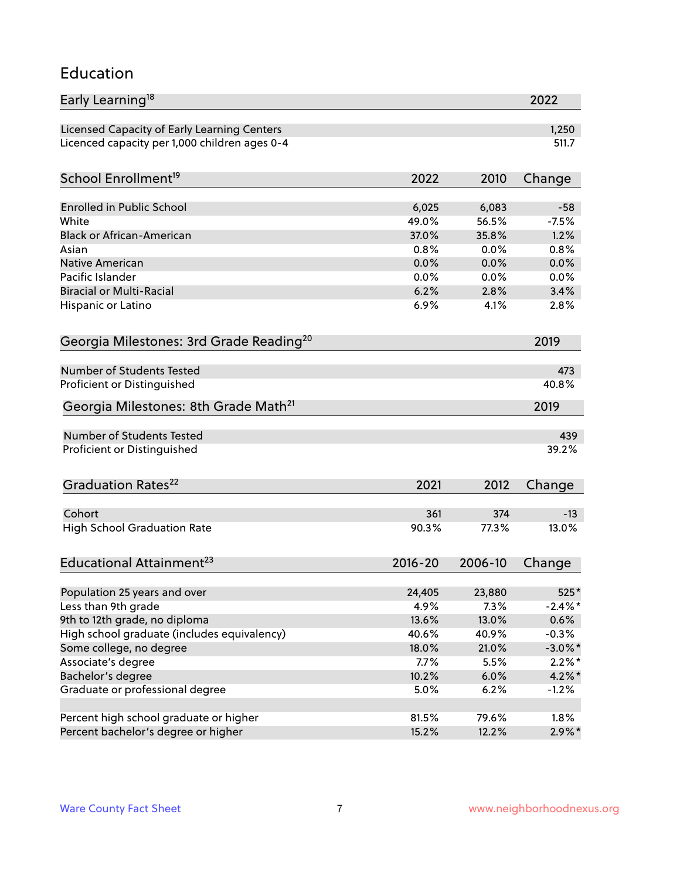#### Education

| Early Learning <sup>18</sup>                        |              |              | 2022             |
|-----------------------------------------------------|--------------|--------------|------------------|
| Licensed Capacity of Early Learning Centers         |              |              | 1,250            |
| Licenced capacity per 1,000 children ages 0-4       |              |              | 511.7            |
| School Enrollment <sup>19</sup>                     | 2022         | 2010         | Change           |
|                                                     |              |              |                  |
| <b>Enrolled in Public School</b>                    | 6,025        | 6,083        | $-58$<br>$-7.5%$ |
| White                                               | 49.0%        | 56.5%        |                  |
| <b>Black or African-American</b>                    | 37.0%        | 35.8%        | 1.2%<br>0.8%     |
| Asian                                               | 0.8%         | 0.0%         | 0.0%             |
| Native American<br>Pacific Islander                 | 0.0%         | 0.0%         |                  |
| <b>Biracial or Multi-Racial</b>                     | 0.0%<br>6.2% | 0.0%<br>2.8% | 0.0%<br>3.4%     |
|                                                     |              | 4.1%         |                  |
| Hispanic or Latino                                  | 6.9%         |              | 2.8%             |
| Georgia Milestones: 3rd Grade Reading <sup>20</sup> |              |              | 2019             |
| Number of Students Tested                           |              |              | 473              |
| Proficient or Distinguished                         |              |              | 40.8%            |
| Georgia Milestones: 8th Grade Math <sup>21</sup>    |              |              | 2019             |
|                                                     |              |              |                  |
| <b>Number of Students Tested</b>                    |              |              | 439              |
| Proficient or Distinguished                         |              |              | 39.2%            |
| Graduation Rates <sup>22</sup>                      | 2021         | 2012         | Change           |
|                                                     |              |              |                  |
| Cohort                                              | 361          | 374          | $-13$            |
| <b>High School Graduation Rate</b>                  | 90.3%        | 77.3%        | 13.0%            |
| Educational Attainment <sup>23</sup>                | $2016 - 20$  | 2006-10      | Change           |
| Population 25 years and over                        | 24,405       | 23,880       | $525*$           |
| Less than 9th grade                                 | 4.9%         | 7.3%         | $-2.4\%$ *       |
| 9th to 12th grade, no diploma                       | 13.6%        | 13.0%        | 0.6%             |
| High school graduate (includes equivalency)         | 40.6%        | 40.9%        | $-0.3%$          |
| Some college, no degree                             | 18.0%        | 21.0%        | $-3.0\%$ *       |
| Associate's degree                                  | 7.7%         | 5.5%         | $2.2\%$ *        |
|                                                     |              |              |                  |
| Bachelor's degree                                   | 10.2%        | 6.0%         | $4.2\%$ *        |
| Graduate or professional degree                     | 5.0%         | 6.2%         | $-1.2%$          |
| Percent high school graduate or higher              | 81.5%        | 79.6%        | 1.8%             |
| Percent bachelor's degree or higher                 | 15.2%        | 12.2%        | $2.9\%*$         |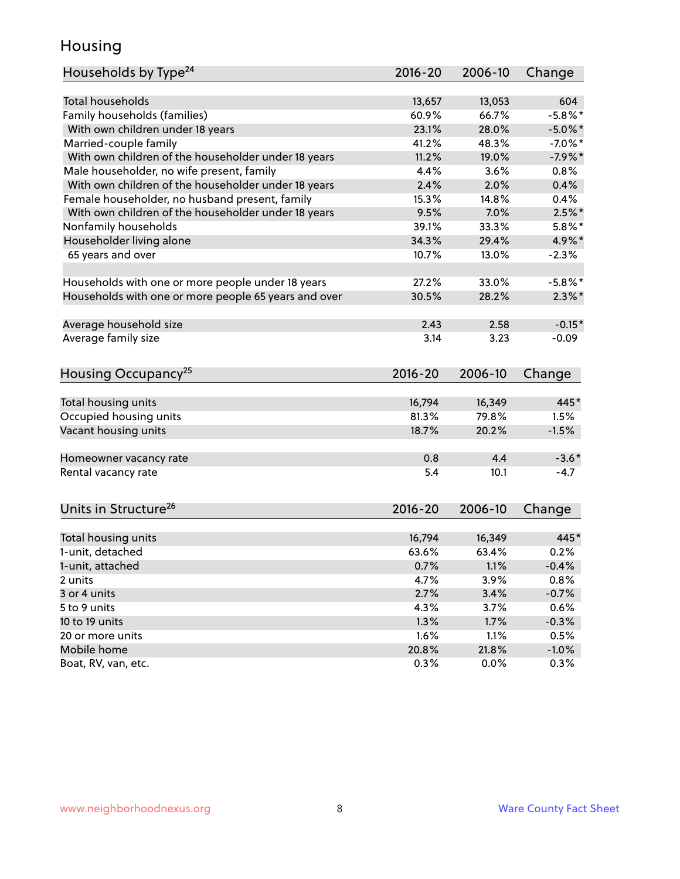### Housing

| Households by Type <sup>24</sup>                     | 2016-20 | 2006-10 | Change     |
|------------------------------------------------------|---------|---------|------------|
|                                                      |         |         |            |
| <b>Total households</b>                              | 13,657  | 13,053  | 604        |
| Family households (families)                         | 60.9%   | 66.7%   | $-5.8%$ *  |
| With own children under 18 years                     | 23.1%   | 28.0%   | $-5.0\%$ * |
| Married-couple family                                | 41.2%   | 48.3%   | $-7.0\%$ * |
| With own children of the householder under 18 years  | 11.2%   | 19.0%   | $-7.9%$ *  |
| Male householder, no wife present, family            | 4.4%    | 3.6%    | 0.8%       |
| With own children of the householder under 18 years  | 2.4%    | 2.0%    | 0.4%       |
| Female householder, no husband present, family       | 15.3%   | 14.8%   | 0.4%       |
| With own children of the householder under 18 years  | 9.5%    | 7.0%    | $2.5\%$ *  |
| Nonfamily households                                 | 39.1%   | 33.3%   | $5.8\%$ *  |
| Householder living alone                             | 34.3%   | 29.4%   | 4.9%*      |
| 65 years and over                                    | 10.7%   | 13.0%   | $-2.3%$    |
|                                                      |         |         |            |
| Households with one or more people under 18 years    | 27.2%   | 33.0%   | $-5.8\%$ * |
| Households with one or more people 65 years and over | 30.5%   | 28.2%   | $2.3\%$ *  |
| Average household size                               | 2.43    | 2.58    | $-0.15*$   |
| Average family size                                  | 3.14    | 3.23    | $-0.09$    |
|                                                      |         |         |            |
| Housing Occupancy <sup>25</sup>                      | 2016-20 | 2006-10 | Change     |
|                                                      |         |         |            |
| Total housing units                                  | 16,794  | 16,349  | 445*       |
| Occupied housing units                               | 81.3%   | 79.8%   | 1.5%       |
| Vacant housing units                                 | 18.7%   | 20.2%   | $-1.5%$    |
| Homeowner vacancy rate                               | 0.8     | 4.4     | $-3.6*$    |
| Rental vacancy rate                                  | 5.4     | 10.1    | $-4.7$     |
|                                                      |         |         |            |
| Units in Structure <sup>26</sup>                     | 2016-20 | 2006-10 | Change     |
| Total housing units                                  | 16,794  | 16,349  | 445*       |
| 1-unit, detached                                     | 63.6%   | 63.4%   | 0.2%       |
| 1-unit, attached                                     | 0.7%    | 1.1%    | $-0.4%$    |
| 2 units                                              | 4.7%    | 3.9%    | 0.8%       |
| 3 or 4 units                                         | 2.7%    | 3.4%    | $-0.7%$    |
| 5 to 9 units                                         | 4.3%    | 3.7%    | 0.6%       |
| 10 to 19 units                                       | 1.3%    | 1.7%    | $-0.3%$    |
| 20 or more units                                     | 1.6%    | 1.1%    | 0.5%       |
| Mobile home                                          | 20.8%   | 21.8%   | $-1.0\%$   |
| Boat, RV, van, etc.                                  | 0.3%    | $0.0\%$ | 0.3%       |
|                                                      |         |         |            |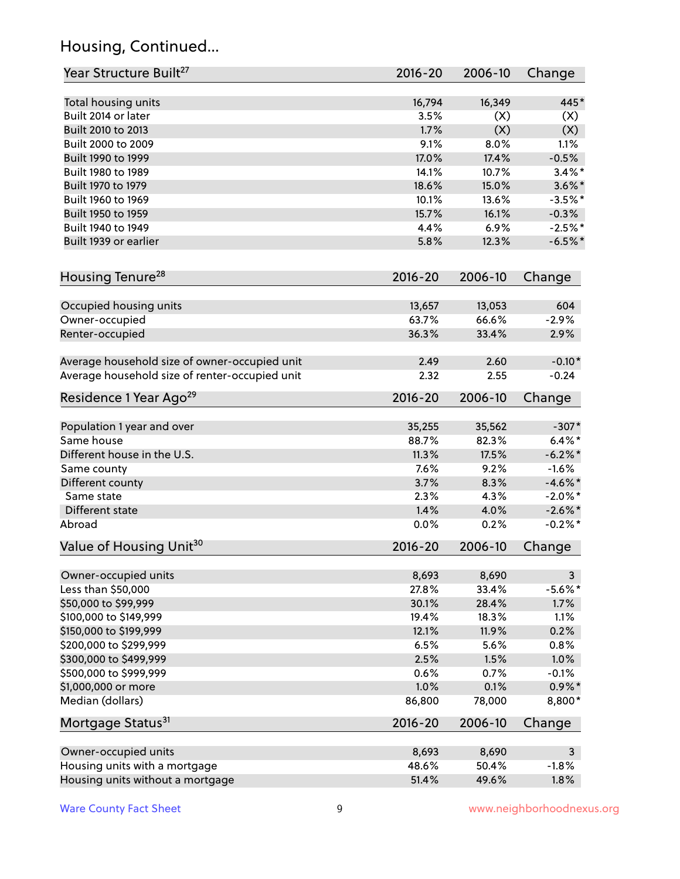# Housing, Continued...

| Year Structure Built <sup>27</sup>             | 2016-20        | 2006-10        | Change       |
|------------------------------------------------|----------------|----------------|--------------|
| Total housing units                            | 16,794         | 16,349         | 445*         |
| Built 2014 or later                            | 3.5%           | (X)            | (X)          |
| Built 2010 to 2013                             | 1.7%           | (X)            | (X)          |
| Built 2000 to 2009                             | 9.1%           | 8.0%           | 1.1%         |
| Built 1990 to 1999                             | 17.0%          | 17.4%          | $-0.5%$      |
| Built 1980 to 1989                             | 14.1%          | 10.7%          | $3.4\%$ *    |
| Built 1970 to 1979                             | 18.6%          | 15.0%          | $3.6\%$ *    |
| Built 1960 to 1969                             | 10.1%          | 13.6%          | $-3.5%$ *    |
| Built 1950 to 1959                             | 15.7%          | 16.1%          | $-0.3%$      |
| Built 1940 to 1949                             | 4.4%           | 6.9%           | $-2.5%$ *    |
| Built 1939 or earlier                          | 5.8%           | 12.3%          | $-6.5%$ *    |
| Housing Tenure <sup>28</sup>                   | $2016 - 20$    | 2006-10        | Change       |
|                                                |                |                |              |
| Occupied housing units                         | 13,657         | 13,053         | 604          |
| Owner-occupied                                 | 63.7%          | 66.6%          | $-2.9%$      |
| Renter-occupied                                | 36.3%          | 33.4%          | 2.9%         |
| Average household size of owner-occupied unit  | 2.49           | 2.60           | $-0.10*$     |
| Average household size of renter-occupied unit | 2.32           | 2.55           | $-0.24$      |
| Residence 1 Year Ago <sup>29</sup>             | 2016-20        | 2006-10        | Change       |
| Population 1 year and over                     | 35,255         | 35,562         | $-307*$      |
| Same house                                     | 88.7%          | 82.3%          | $6.4\%$ *    |
| Different house in the U.S.                    | 11.3%          | 17.5%          | $-6.2\%$ *   |
| Same county                                    | 7.6%           | 9.2%           | $-1.6%$      |
| Different county                               | 3.7%           | 8.3%           | $-4.6\%$ *   |
| Same state                                     | 2.3%           | 4.3%           | $-2.0\%$ *   |
| Different state                                | 1.4%           | 4.0%           | $-2.6\%$ *   |
| Abroad                                         | 0.0%           | 0.2%           | $-0.2%$ *    |
| Value of Housing Unit <sup>30</sup>            | $2016 - 20$    | 2006-10        | Change       |
| Owner-occupied units                           |                |                | $\mathbf{3}$ |
| Less than \$50,000                             | 8,693<br>27.8% | 8,690<br>33.4% | $-5.6%$ *    |
| \$50,000 to \$99,999                           | 30.1%          | 28.4%          | 1.7%         |
| \$100,000 to \$149,999                         | 19.4%          | 18.3%          | 1.1%         |
| \$150,000 to \$199,999                         | 12.1%          | 11.9%          | 0.2%         |
| \$200,000 to \$299,999                         | 6.5%           | 5.6%           | 0.8%         |
| \$300,000 to \$499,999                         | 2.5%           | 1.5%           | 1.0%         |
| \$500,000 to \$999,999                         | 0.6%           | 0.7%           | $-0.1%$      |
| \$1,000,000 or more                            | 1.0%           | 0.1%           | $0.9\% *$    |
| Median (dollars)                               | 86,800         | 78,000         | 8,800*       |
| Mortgage Status <sup>31</sup>                  | $2016 - 20$    | 2006-10        | Change       |
|                                                |                |                |              |
| Owner-occupied units                           | 8,693          | 8,690          | $\mathbf{3}$ |
| Housing units with a mortgage                  | 48.6%          | 50.4%          | $-1.8%$      |
| Housing units without a mortgage               | 51.4%          | 49.6%          | 1.8%         |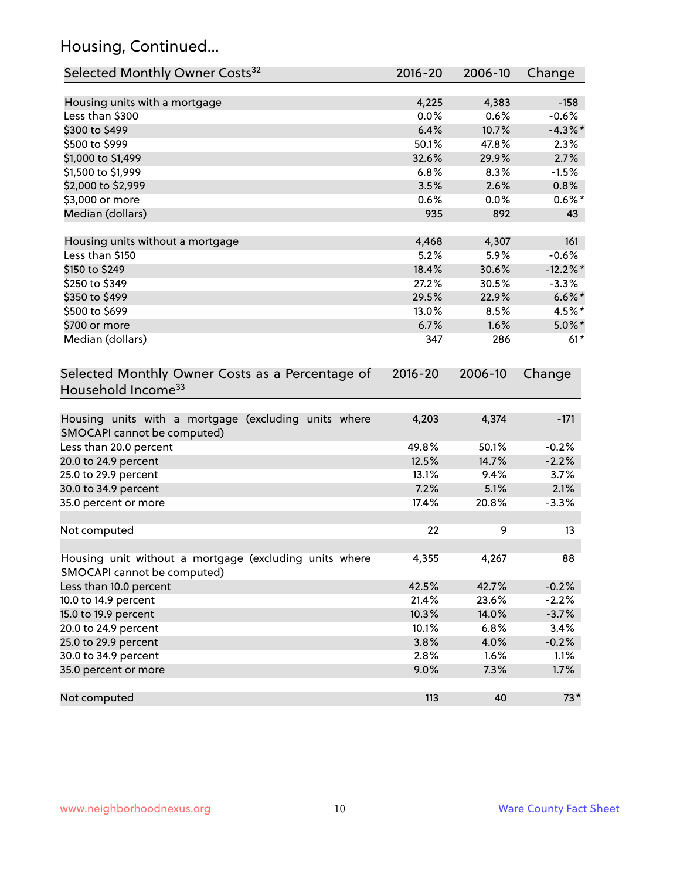# Housing, Continued...

| Selected Monthly Owner Costs <sup>32</sup>                                            | 2016-20 | 2006-10 | Change      |
|---------------------------------------------------------------------------------------|---------|---------|-------------|
| Housing units with a mortgage                                                         | 4,225   | 4,383   | $-158$      |
| Less than \$300                                                                       | 0.0%    | 0.6%    | $-0.6%$     |
| \$300 to \$499                                                                        | 6.4%    | 10.7%   | $-4.3\%$ *  |
| \$500 to \$999                                                                        | 50.1%   | 47.8%   | 2.3%        |
| \$1,000 to \$1,499                                                                    | 32.6%   | 29.9%   | 2.7%        |
| \$1,500 to \$1,999                                                                    | 6.8%    | 8.3%    | $-1.5%$     |
| \$2,000 to \$2,999                                                                    | 3.5%    | 2.6%    | 0.8%        |
| \$3,000 or more                                                                       | 0.6%    | 0.0%    | $0.6\%$ *   |
| Median (dollars)                                                                      | 935     | 892     | 43          |
| Housing units without a mortgage                                                      | 4,468   | 4,307   | 161         |
| Less than \$150                                                                       | 5.2%    | 5.9%    | $-0.6%$     |
| \$150 to \$249                                                                        | 18.4%   | 30.6%   | $-12.2\%$ * |
| \$250 to \$349                                                                        | 27.2%   | 30.5%   | $-3.3%$     |
| \$350 to \$499                                                                        | 29.5%   | 22.9%   | $6.6\%$ *   |
| \$500 to \$699                                                                        | 13.0%   | 8.5%    | 4.5%*       |
| \$700 or more                                                                         | 6.7%    | 1.6%    | $5.0\%$ *   |
| Median (dollars)                                                                      | 347     | 286     | $61*$       |
| Household Income <sup>33</sup>                                                        |         |         |             |
| Housing units with a mortgage (excluding units where<br>SMOCAPI cannot be computed)   | 4,203   | 4,374   | $-171$      |
| Less than 20.0 percent                                                                | 49.8%   | 50.1%   | $-0.2%$     |
| 20.0 to 24.9 percent                                                                  | 12.5%   | 14.7%   | $-2.2%$     |
| 25.0 to 29.9 percent                                                                  | 13.1%   | 9.4%    | 3.7%        |
| 30.0 to 34.9 percent                                                                  | 7.2%    | 5.1%    | 2.1%        |
| 35.0 percent or more                                                                  | 17.4%   | 20.8%   | $-3.3%$     |
| Not computed                                                                          | 22      | 9       | 13          |
| Housing unit without a mortgage (excluding units where<br>SMOCAPI cannot be computed) | 4,355   | 4,267   | 88          |
| Less than 10.0 percent                                                                | 42.5%   | 42.7%   | $-0.2%$     |
| 10.0 to 14.9 percent                                                                  | 21.4%   | 23.6%   | $-2.2%$     |
| 15.0 to 19.9 percent                                                                  | 10.3%   | 14.0%   | $-3.7%$     |
| 20.0 to 24.9 percent                                                                  | 10.1%   | 6.8%    | 3.4%        |
| 25.0 to 29.9 percent                                                                  | 3.8%    | 4.0%    | $-0.2%$     |
| 30.0 to 34.9 percent                                                                  | 2.8%    | 1.6%    | 1.1%        |
| 35.0 percent or more                                                                  | 9.0%    | 7.3%    | 1.7%        |
| Not computed                                                                          | 113     | 40      | $73*$       |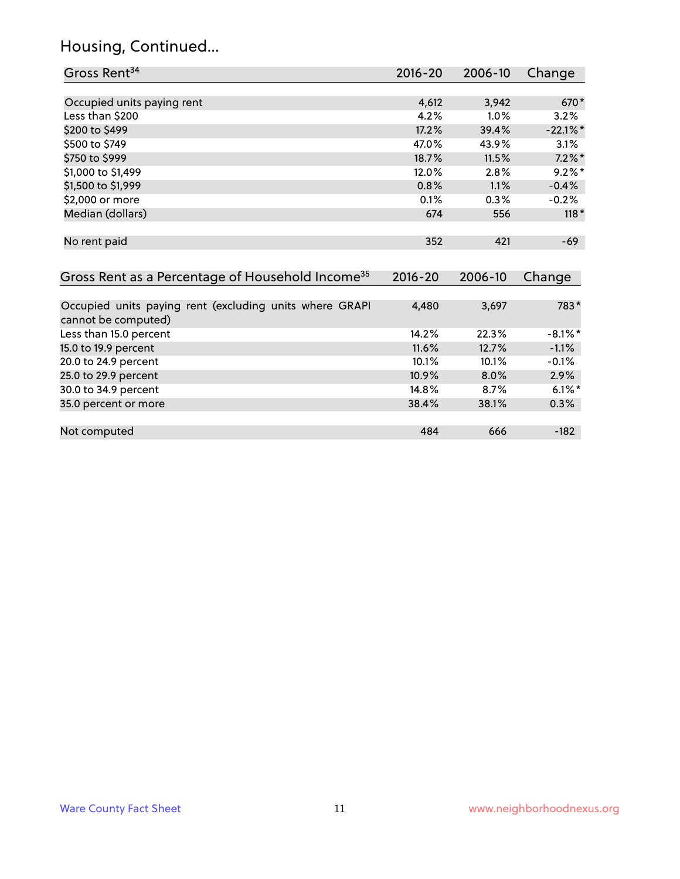# Housing, Continued...

| Gross Rent <sup>34</sup>                                                       | 2016-20            | 2006-10        | Change      |
|--------------------------------------------------------------------------------|--------------------|----------------|-------------|
|                                                                                |                    |                |             |
| Occupied units paying rent                                                     | 4,612              | 3,942          | 670*        |
| Less than \$200                                                                | 4.2%               | 1.0%           | 3.2%        |
| \$200 to \$499                                                                 | 17.2%              | 39.4%          | $-22.1\%$ * |
| \$500 to \$749                                                                 | 47.0%              | 43.9%          | 3.1%        |
| \$750 to \$999                                                                 | 18.7%              | 11.5%          | $7.2\%$ *   |
| \$1,000 to \$1,499                                                             | 12.0%              | 2.8%           | $9.2\%$ *   |
| \$1,500 to \$1,999                                                             | 0.8%               | 1.1%           | $-0.4%$     |
| \$2,000 or more                                                                | 0.1%               | 0.3%           | $-0.2%$     |
| Median (dollars)                                                               | 674                | 556            | $118*$      |
| No rent paid<br>Gross Rent as a Percentage of Household Income <sup>35</sup>   | 352<br>$2016 - 20$ | 421<br>2006-10 | $-69$       |
|                                                                                |                    |                | Change      |
| Occupied units paying rent (excluding units where GRAPI<br>cannot be computed) | 4,480              | 3,697          | 783*        |
| Less than 15.0 percent                                                         | 14.2%              | 22.3%          | $-8.1\%$ *  |
| 15.0 to 19.9 percent                                                           | 11.6%              | 12.7%          | $-1.1%$     |
| 20.0 to 24.9 percent                                                           | 10.1%              | 10.1%          | $-0.1%$     |
| 25.0 to 29.9 percent                                                           | 10.9%              | 8.0%           | 2.9%        |
| 30.0 to 34.9 percent                                                           | 14.8%              | 8.7%           | $6.1\%$ *   |
| 35.0 percent or more                                                           | 38.4%              | 38.1%          | 0.3%        |
| Not computed                                                                   | 484                | 666            | $-182$      |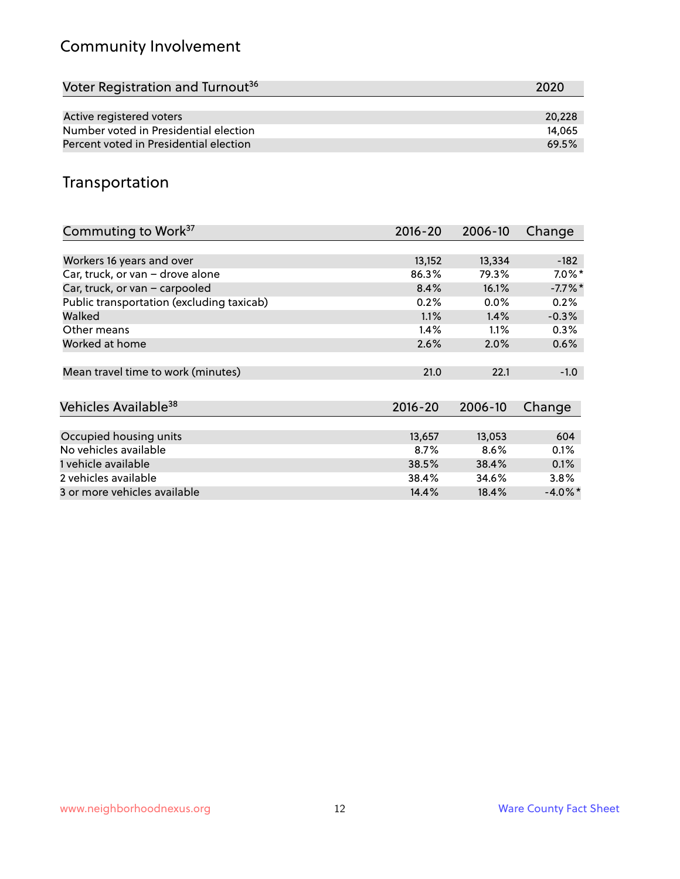# Community Involvement

| Voter Registration and Turnout <sup>36</sup> | 2020   |
|----------------------------------------------|--------|
|                                              |        |
| Active registered voters                     | 20,228 |
| Number voted in Presidential election        | 14.065 |
| Percent voted in Presidential election       | 69.5%  |

# Transportation

| Commuting to Work <sup>37</sup>           | 2016-20     | 2006-10 | Change     |
|-------------------------------------------|-------------|---------|------------|
|                                           |             |         |            |
| Workers 16 years and over                 | 13,152      | 13,334  | $-182$     |
| Car, truck, or van - drove alone          | 86.3%       | 79.3%   | $7.0\%$ *  |
| Car, truck, or van - carpooled            | 8.4%        | 16.1%   | $-7.7\%$ * |
| Public transportation (excluding taxicab) | 0.2%        | 0.0%    | 0.2%       |
| Walked                                    | 1.1%        | 1.4%    | $-0.3%$    |
| Other means                               | 1.4%        | $1.1\%$ | 0.3%       |
| Worked at home                            | 2.6%        | 2.0%    | 0.6%       |
|                                           |             |         |            |
| Mean travel time to work (minutes)        | 21.0        | 22.1    | $-1.0$     |
|                                           |             |         |            |
| Vehicles Available <sup>38</sup>          | $2016 - 20$ | 2006-10 | Change     |
|                                           |             |         |            |
| Occupied housing units                    | 13,657      | 13,053  | 604        |
| No vehicles available                     | 8.7%        | 8.6%    | 0.1%       |
| 1 vehicle available                       | 38.5%       | 38.4%   | 0.1%       |
| 2 vehicles available                      | 38.4%       | 34.6%   | 3.8%       |
| 3 or more vehicles available              | 14.4%       | 18.4%   | $-4.0\%$ * |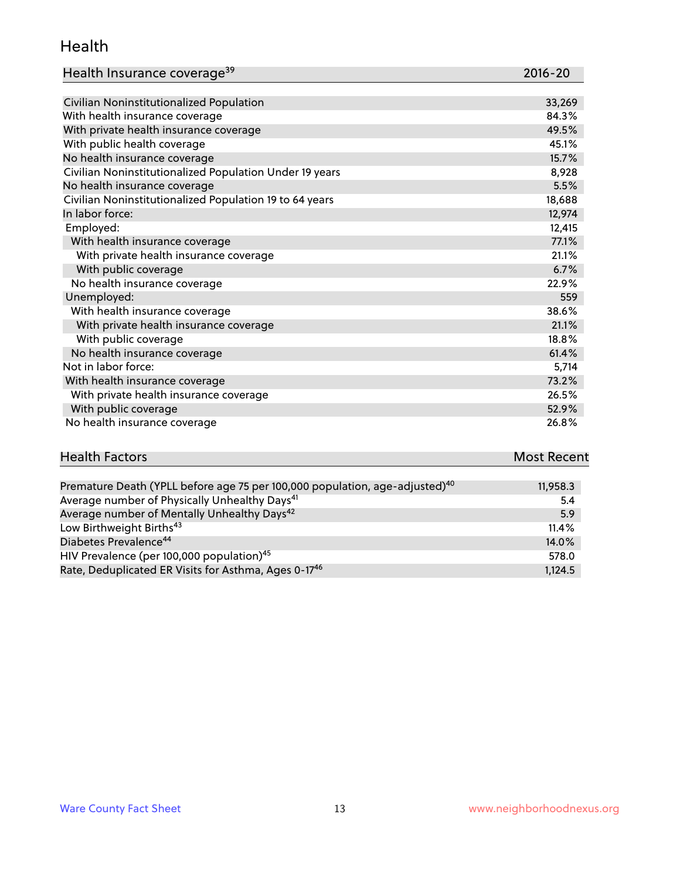#### Health

| Health Insurance coverage <sup>39</sup> | 2016-20 |
|-----------------------------------------|---------|
|-----------------------------------------|---------|

| With health insurance coverage                          | 84.3%  |
|---------------------------------------------------------|--------|
| With private health insurance coverage                  | 49.5%  |
| With public health coverage                             | 45.1%  |
| No health insurance coverage                            | 15.7%  |
| Civilian Noninstitutionalized Population Under 19 years | 8,928  |
| No health insurance coverage                            | 5.5%   |
| Civilian Noninstitutionalized Population 19 to 64 years | 18,688 |
| In labor force:                                         | 12,974 |
| Employed:                                               | 12,415 |
| With health insurance coverage                          | 77.1%  |
| With private health insurance coverage                  | 21.1%  |
| With public coverage                                    | 6.7%   |
| No health insurance coverage                            | 22.9%  |
| Unemployed:                                             | 559    |
| With health insurance coverage                          | 38.6%  |
| With private health insurance coverage                  | 21.1%  |
| With public coverage                                    | 18.8%  |
| No health insurance coverage                            | 61.4%  |
| Not in labor force:                                     | 5,714  |
| With health insurance coverage                          | 73.2%  |
| With private health insurance coverage                  | 26.5%  |
| With public coverage                                    | 52.9%  |
| No health insurance coverage                            | 26.8%  |

| <b>Health Factors</b> | <b>Most Recent</b> |
|-----------------------|--------------------|
|                       |                    |

| Premature Death (YPLL before age 75 per 100,000 population, age-adjusted) <sup>40</sup> | 11,958.3 |
|-----------------------------------------------------------------------------------------|----------|
| Average number of Physically Unhealthy Days <sup>41</sup>                               | -5.4     |
| Average number of Mentally Unhealthy Days <sup>42</sup>                                 | 5.9      |
| Low Birthweight Births <sup>43</sup>                                                    | 11.4%    |
| Diabetes Prevalence <sup>44</sup>                                                       | 14.0%    |
| HIV Prevalence (per 100,000 population) <sup>45</sup>                                   | 578.0    |
| Rate, Deduplicated ER Visits for Asthma, Ages 0-17 <sup>46</sup>                        | 1.124.5  |